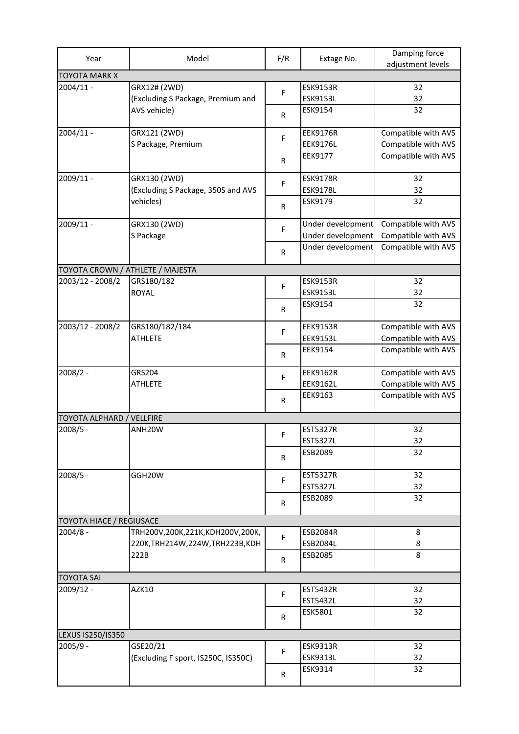| Year                             | Model                               | F/R       | Extage No.                             | Damping force<br>adjustment levels         |  |  |  |
|----------------------------------|-------------------------------------|-----------|----------------------------------------|--------------------------------------------|--|--|--|
| <b>TOYOTA MARK X</b>             |                                     |           |                                        |                                            |  |  |  |
| $2004/11 -$                      | GRX12# (2WD)                        | F         | <b>ESK9153R</b>                        | 32                                         |  |  |  |
|                                  | (Excluding S Package, Premium and   |           | ESK9153L                               | 32                                         |  |  |  |
|                                  | AVS vehicle)                        | R         | ESK9154                                | 32                                         |  |  |  |
| $2004/11 -$                      | GRX121 (2WD)                        | F         | <b>EEK9176R</b>                        | Compatible with AVS                        |  |  |  |
|                                  | S Package, Premium                  |           | <b>EEK9176L</b>                        | Compatible with AVS                        |  |  |  |
|                                  |                                     | R         | EEK9177                                | Compatible with AVS                        |  |  |  |
| 2009/11 -                        | GRX130 (2WD)                        | F         | <b>ESK9178R</b>                        | 32                                         |  |  |  |
|                                  | (Excluding S Package, 350S and AVS  |           | <b>ESK9178L</b>                        | 32                                         |  |  |  |
|                                  | vehicles)                           | R         | ESK9179                                | 32                                         |  |  |  |
| $2009/11 -$                      | GRX130 (2WD)<br>S Package           | F         | Under development<br>Under development | Compatible with AVS<br>Compatible with AVS |  |  |  |
|                                  |                                     | ${\sf R}$ | Under development                      | Compatible with AVS                        |  |  |  |
|                                  |                                     |           |                                        |                                            |  |  |  |
| TOYOTA CROWN / ATHLETE / MAJESTA |                                     |           |                                        |                                            |  |  |  |
| 2003/12 - 2008/2                 | GRS180/182                          | F         | <b>ESK9153R</b>                        | 32                                         |  |  |  |
|                                  | <b>ROYAL</b>                        |           | <b>ESK9153L</b><br>ESK9154             | 32<br>32                                   |  |  |  |
|                                  |                                     | R         |                                        |                                            |  |  |  |
| 2003/12 - 2008/2                 | GRS180/182/184                      | F         | <b>EEK9153R</b>                        | Compatible with AVS                        |  |  |  |
|                                  | <b>ATHLETE</b>                      |           | <b>EEK9153L</b>                        | Compatible with AVS                        |  |  |  |
|                                  |                                     | R         | EEK9154                                | Compatible with AVS                        |  |  |  |
| $2008/2 -$                       | GRS204                              | F         | <b>EEK9162R</b>                        | Compatible with AVS                        |  |  |  |
|                                  | <b>ATHLETE</b>                      |           | <b>EEK9162L</b>                        | Compatible with AVS                        |  |  |  |
|                                  |                                     | R         | EEK9163                                | Compatible with AVS                        |  |  |  |
| TOYOTA ALPHARD / VELLFIRE        |                                     |           |                                        |                                            |  |  |  |
| 2008/5 -                         | ANH20W                              |           | <b>EST5327R</b>                        | 32                                         |  |  |  |
|                                  |                                     | F.        | <b>EST5327L</b>                        | 32                                         |  |  |  |
|                                  |                                     | R         | ESB2089                                | 32                                         |  |  |  |
| 2008/5 -                         | GGH20W                              | F.        | <b>EST5327R</b>                        | 32                                         |  |  |  |
|                                  |                                     |           | <b>EST5327L</b>                        | 32                                         |  |  |  |
|                                  |                                     | R         | ESB2089                                | 32                                         |  |  |  |
| <b>TOYOTA HIACE / REGIUSACE</b>  |                                     |           |                                        |                                            |  |  |  |
| $2004/8 -$                       | TRH200V,200K,221K,KDH200V,200K,     |           | <b>ESB2084R</b>                        | 8                                          |  |  |  |
|                                  | 220K, TRH 214W, 224W, TRH 223B, KDH | F         | ESB2084L                               | 8                                          |  |  |  |
|                                  | 222B                                | R         | ESB2085                                | 8                                          |  |  |  |
| <b>TOYOTA SAI</b>                |                                     |           |                                        |                                            |  |  |  |
| 2009/12 -                        | AZK10                               |           | <b>EST5432R</b>                        | 32                                         |  |  |  |
|                                  |                                     | F.        | EST5432L                               | 32                                         |  |  |  |
|                                  |                                     | R         | ESK5801                                | 32                                         |  |  |  |
| LEXUS IS250/IS350                |                                     |           |                                        |                                            |  |  |  |
| $2005/9 -$                       | GSE20/21                            |           | <b>ESK9313R</b>                        | 32                                         |  |  |  |
|                                  | (Excluding F sport, IS250C, IS350C) | F         | <b>ESK9313L</b>                        | 32                                         |  |  |  |
|                                  |                                     | R         | ESK9314                                | 32                                         |  |  |  |